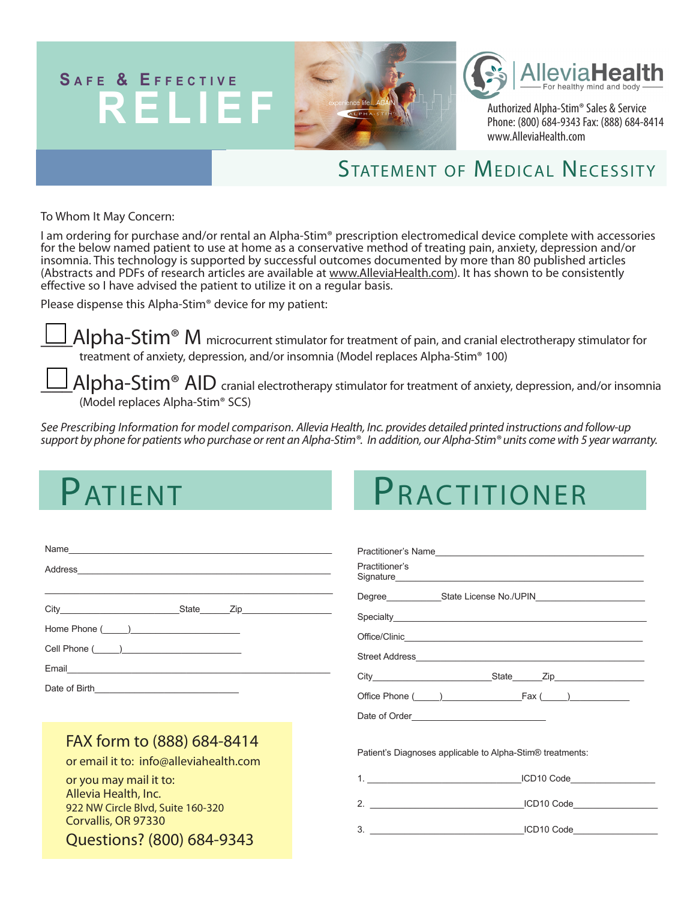

To Whom It May Concern:

I am ordering for purchase and/or rental an Alpha-Stim® prescription electromedical device complete with accessories for the below named patient to use at home as a conservative method of treating pain, anxiety, depression and/or insomnia. This technology is supported by successful outcomes documented by more than 80 published articles (Abstracts and PDFs of research articles are available at www.AlleviaHealth.com). It has shown to be consistently effective so I have advised the patient to utilize it on a regular basis.

Please dispense this Alpha-Stim® device for my patient:

 $Alpha{\text -}\mathrm{Stim}^{\circledast}$  M microcurrent stimulator for treatment of pain, and cranial electrotherapy stimulator for treatment of anxiety, depression, and/or insomnia (Model replaces Alpha-Stim® 100)

 $A$ lpha-Stim® AID cranial electrotherapy stimulator for treatment of anxiety, depression, and/or insomnia (Model replaces Alpha-Stim® SCS)

*See Prescribing Information for model comparison. Allevia Health, Inc. provides detailed printed instructions and follow-up support by phone for patients who purchase or rent an Alpha-Stim®. In addition, our Alpha-Stim® units come with 5 year warranty.* 

## PATIENT PRACTITIONER

|                                                                                                                                                                                                                 | Practitioner's                                                                                               |
|-----------------------------------------------------------------------------------------------------------------------------------------------------------------------------------------------------------------|--------------------------------------------------------------------------------------------------------------|
|                                                                                                                                                                                                                 |                                                                                                              |
| FAX form to (888) 684-8414<br>or email it to: info@alleviahealth.com<br>or you may mail it to:<br>Allevia Health, Inc.<br>922 NW Circle Blvd, Suite 160-320<br>Corvallis, OR 97330<br>Questions? (800) 684-9343 | Patient's Diagnoses applicable to Alpha-Stim® treatments:<br>1.<br>$\Box$ ICD10 Code $\Box$<br>3. ICD10 Code |